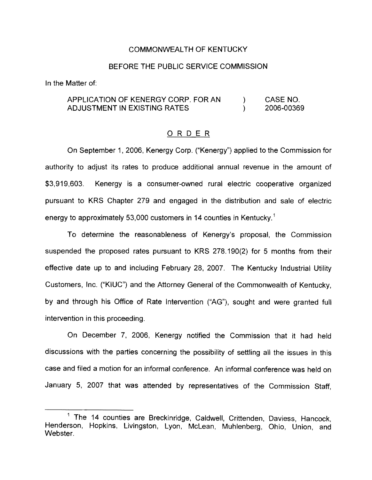#### COMMONWEALTH OF KENTUCKY

#### BEFORE THE PUBLIC SERVICE COMMISSION

In the Matter of:

#### APPLICATION OF KENERGY CORP. FOR AN ADJUSTMENT IN EXISTING RATES ) CASE NO.<br>) 2006-00369 ) 2006-00369

### ORDER

On September 1, 2006, Kenergy Corp. ("Kenergy") applied to the Commission for authority to adjust its rates to produce additional annual revenue in the amount of \$3,919,603. Kenergy is a consumer-owned rural electric cooperative organized pursuant to KRS Chapter 279 and engaged in the distribution and sale of electric energy to approximately 53,000 customers in 14 counties in Kentucky.<sup>1</sup>

To determine the reasonableness of Kenergy's proposal, the Commission suspended the proposed rates pursuant to KRS 278.190(2) for 5 months from their effective date up to and including February 28, 2007. The Kentucky Industrial Utility Customers, Inc. ("KIUC") and the Attorney General of the Commonwealth of Kentucky, by and through his Office of Rate Intervention ("AG"), sought and were granted full intervention in this proceeding.

On December 7, 2006, Kenergy notified the Commission that it had held discussions with the parties concerning the possibility of settling all the issues in this case and filed a motion for an informal conference. An informal conference was held on January 5, 2007 that was attended by representatives of the Commission Staff,

<sup>&</sup>lt;sup>1</sup> The 14 counties are Breckinridge, Caldwell, Crittenden, Daviess, Hancock, Henderson, Hopkins, Livingston, Lyon, McLean, Muhlenberg, Ohio, Union, and Webster.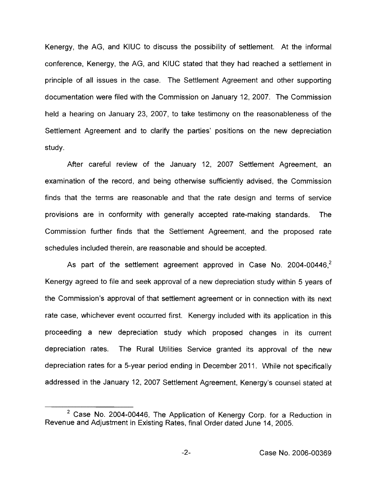Kenergy, the AG, and KIUC to discuss the possibility of settlement. At the informal conference, Kenergy, the AG, and KIUC stated that they had reached a settlement in principle of all issues in the case. The Settlement Agreement and other supporting documentation were filed with the Commission on January 12, 2007. The Commission held a hearing on January 23, 2007, to take testimony on the reasonableness of the Settlement Agreement and to clarify the parties' positions on the new depreciation study.

After careful review of the January 12, 2007 Settlement Agreement, an examination of the record, and being otherwise sufficiently advised, the Commission finds that the terms are reasonable and that the rate design and terms of service provisions are in conformity with generally accepted rate-making standards. The Commission further finds that the Settlement Agreement, and the proposed rate schedules included therein, are reasonable and should be accepted.

As part of the settlement agreement approved in Case No. 2004-00446, $<sup>2</sup>$ </sup> Kenergy agreed to file and seek approval of a new depreciation study within 5 years of the Commission's approval of that settlement agreement or in connection with its next rate case, whichever event occurred first. Kenergy included with its application in this proceeding a new depreciation study which proposed changes in its current depreciation rates. The Rural Utilities Service granted its approval of the new depreciation rates for a 5-year period ending in December 2011. While not specifically addressed in the January 12, 2007 Settlement Agreement, Kenergy's counsel stated at

 $-2-$ 

 $2$  Case No. 2004-00446, The Application of Kenergy Corp. for a Reduction in Revenue and Adjustment in Existing Rates, final Order dated June 14, 2005.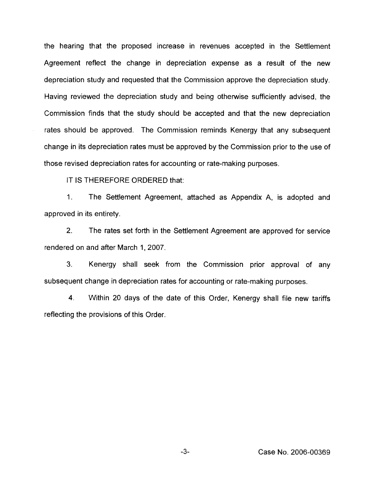the hearing that the proposed increase in revenues accepted in the Settlement Agreement reflect the change in depreciation expense as a result of the new depreciation study and requested that the Commission approve the depreciation study. Having reviewed the depreciation study and being otherwise sufficiently advised, the Cornmission finds that the study should be accepted and that the new depreciation rates should be approved. The Commission reminds Kenergy that any subsequent change in its depreciation rates must be approved by the Commission prior to the use of those revised depreciation rates for accounting or rate-making purposes.

IT IS THEREFORE ORDERED that:

 $1<sub>1</sub>$ The Settlement Agreement, attached as Appendix A, is adopted and approved in its entirety.

2. The rates set forth in the Settlement Agreement are approved for service rendered on and after March 1, 2007.

3. Kenergy shall seek from the Commission prior approval of any subsequent change in depreciation rates for accounting or rate-making purposes.

4. Within 20 days of the date of this Order, Kenergy shall file new tariffs reflecting the provisions of this Order.

 $-3-$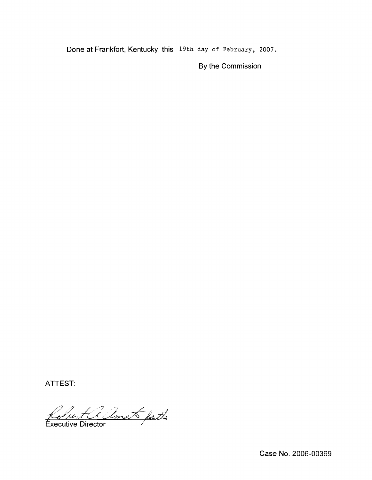Done at Frankfort, Kentucky, this 19th day of February, 2oo7.

By the Commission

ATTEST:

Robert a Amat fatte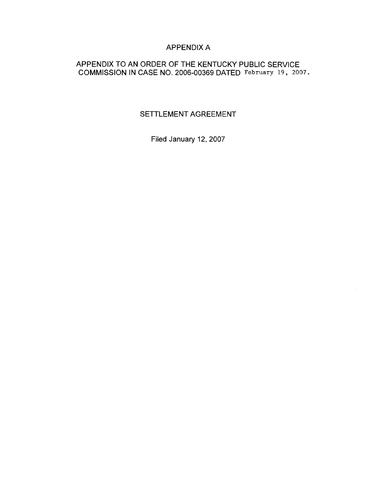### APPENDIX A

### APPENDIX TO AN ORDER OF THE KENTUCKY PUBLIC SERVICE COMMISSION IN CASE NO. 2006-00369 DATFD February 19, 2oO7.

## SETTLEMENT AGREEMENT

Filed January 12, 2007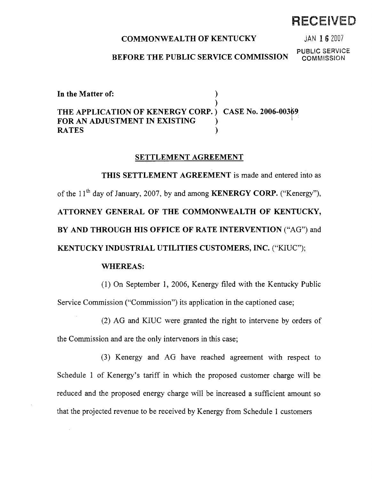### COMMONWEALTH OF KENTUCKY

JAN 1 6 2007

RECEIVEI

#### BEFORE THE PUBLIC SERVICE COMMISSION

**PUBLIC SERVICE**<br>COMMISSION

In the Matter of: ) ) THE APPLICATION OF KENERGY CORP. ) CASE No. 2006-00369 FOR AN ADJUSTMENT IN EXISTING  $\qquad\qquad$  )<br>RATES **RATES** 

#### SETTLEMENT AGREEMENT

THIS SETTLEMENT AGREEMENT is made and entered into as of the  $11<sup>th</sup>$  day of January, 2007, by and among **KENERGY CORP.** ("Kenergy"), ATTORNEY GENERAL OF THE COMMONWEALTH OF KENTUCKY, BY AND THROUGH HIS OFFICE OF RATE INTERVENTION ("AG") and KENTUCKY INDUSTRIAL UTILITIES CUSTOMERS, INC. ("KIUC");

#### WHEREAS:

(1) Dn September 1, 2006, Kenergy filed with the Kentucky Public Service Commission ("Commission") its application in the captioned case;

(2) AG and KIUC were granted the right to intervene by orders of the Commission and are the only intervenors in this case;

(3) Kenergy and AG have reached agreement with respect to Schedule <sup>1</sup> of Kenergy's tariff in which the proposed customer charge will be reduced and the proposed energy charge will be increased a sufficient amount so that the projected revenue to be received by Kenergy from Schedule <sup>1</sup> customers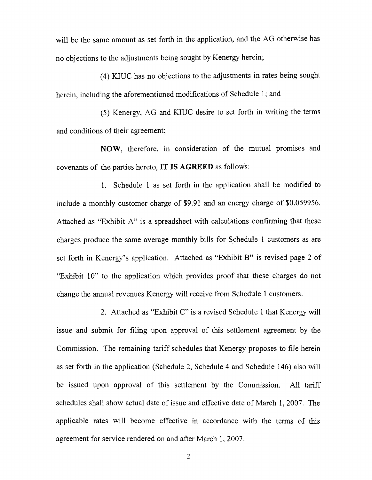will be the same amount as set forth in the application, and the AG otherwise has no objections to the adjustments being sought by Kenergy herein;

(4) KIUC has no objections to the adjustments in rates being sought herein, including the aforementioned modifications of Schedule 1; and

(5) Kenergy, AG and KIUC desire to set forth in writing the terms and conditions of their agreement;

NOW, therefore, in consideration of the mutual promises and covenants of the parties hereto, IT IS AGREED as follows:

1. Schedule <sup>1</sup> as set forth in the application shall be modified to include a monthly customer charge of \$9.91 and an energy charge of \$0.059956. Attached as "Exhibit A" is a spreadsheet with calculations confirming that these charges produce the same average monthly bills for Schedule <sup>1</sup> customers as are set forth in Kenergy's application. Attached as "Exhibit B" is revised page <sup>2</sup> of "Exhibit 10" to the application which provides proof that these charges do not change the annual revenues Kenergy will receive from Schedule <sup>1</sup> customers.

2. Attached as "Exhibit C" is a revised Schedule <sup>1</sup> that Kenergy will issue and submit for filing upon approval of this settlement agreement by the Commission. The remaining tariff schedules that Kenergy proposes to file herein as set forth in the application (Schedule 2, Schedule 4 and Schedule 146) also will be issued upon approval of this settlement by the Commission. All tariff schedules shall show actual date of issue and effective date of March 1, 2007. The applicable rates will become effective in accordance with the terms of this agreement for service rendered on and after March 1, 2007.

2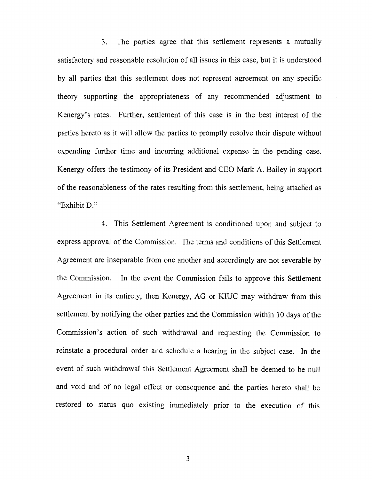3. The parties agree that this settlement represents a mutually satisfactory and reasonable resolution of all issues in this case, but it is understood by all parties that this settlement does not represent agreement on any specific theory supporting the appropriateness of any recommended adjustment to Kenergy's rates. Further, settlement of this case is in the best interest of the parties hereto as it will allow the parties to promptly resolve their dispute without expending further time and incurring additional expense in the pending case. Kenergy offers the testimony of its President and CEO Mark A. Bailey in support of the reasonableness of the rates resulting from this settlement, being attached as "Exhibit D."

4. This Settlement Agreement is conditioned upon and subject to express approval of the Commission. The terms and conditions of this Settlement Agreement are inseparable from one another and accordingly are not severable by the Commission. In the event the Commission fails to approve this Settlement Agreement in its entirety, then Kenergy, AG or KIUC may withdraw from this settlement by notifying the other parties and the Commission within 10 days of the Commission's action of such withdrawal and requesting the Commission to reinstate a procedural order and schedule a hearing in the subject case. In the event of such withdrawal this Settlement Agreement shall be deemed to be null and void and of no legal effect or consequence and the parties hereto shall be restored to status quo existing immediately prior to the execution of this

3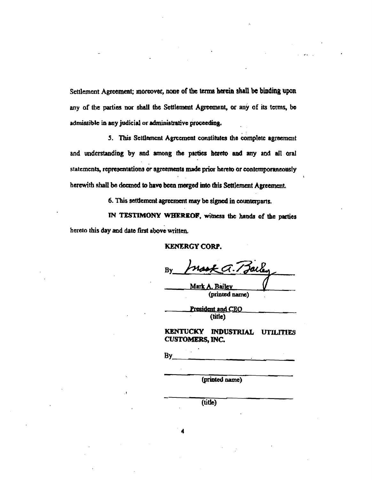Settlement Agreement; moreover, none of the terms herein shall be binding upon any of the parties nor shall the Settlement Agreement, or any of its terms, be admissible in any judicial or administrative proceeding.

5. This Settlement Agreement constitutes the complete agreement and understanding by and among the parties hereto and any and all oral statements, representations or agreements made prior hereto or contemporaneously herewith shall be decmed to have been merged into this Settlement Agreement.

6. This settlement agreement may be signed in counterparts.

IN TESTIMONY WHEREOF, witness the hands of the parties hereto this day and date first above written.

**KENERGY CORP.** 

Ka. Baile Bv

Mark A. Bailey (printed name)

President and CEO (title)

KENTUCKY INDUSTRIAL UTILITIES **CUSTOMERS, INC.** 

By

(printed name)

(title)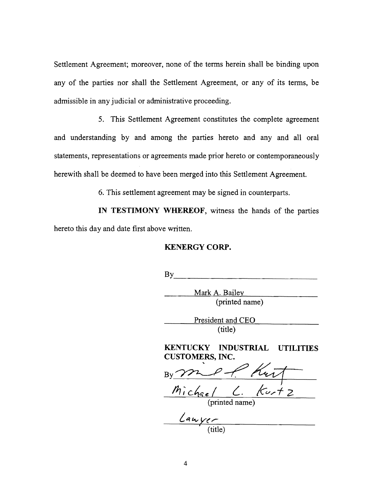Settlement Agreement; moreover, none of the terms herein shall be binding upon any of the parties nor shall the Settlement Agreement, or any of its terms, be admissible in any judicial or administrative proceeding.

5, This Settlement Agreement constitutes the complete agreement and understanding by and among the parties hereto and any and all oral statements, representations or agreements made prior hereto or contemporaneously herewith shall be deemed to have been merged into this Settlement Agreement.

6. This settlement agreement may be signed in counterparts.

IN TESTIMONY WHEREOF, witness the hands of the parties hereto this day and date first above written.

#### **KENERGY CORP.**

By 

> Mark A. Bailey (printed name)

President and CEO (title)

KENTUCKY INDUSTRIAL UTILITIES **CUSTOMERS, INC.** 

Michael C. Kurtz

(printed name)

(title)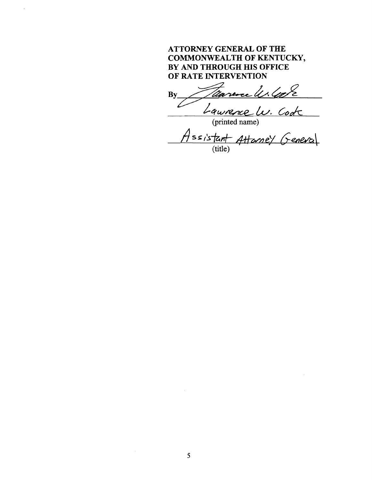## **ATTORNEY GENERAL OF THE COMMONWEALTH OF KENTUCKY,** BY AND THROUGH HIS OFFICE OF RATE INTERVENTION

re les lors /lia By

Laurence Lu. Cont<br>(printed name)<br>Assistant Attanney Geneval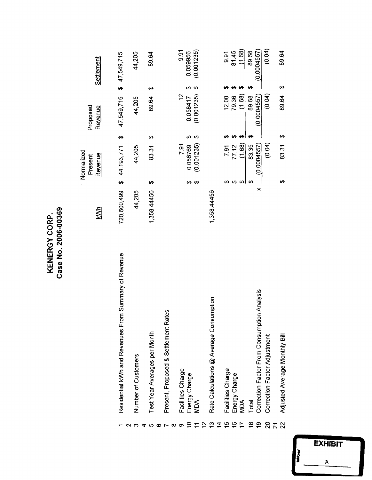| <u>ስረ</u>                | ဖ<br>ო               |
|--------------------------|----------------------|
| O<br>ပ                   | ຸຣຸ                  |
| ≻<br>ပ<br>≃<br>ш         | 200<br>$\frac{1}{2}$ |
| Z<br>$\bar{\bm{\times}}$ | 88<br>89<br>Ω        |

|                |                                                      | <u>sh</u>   |    | Normalized<br>Revenue<br>Present |    | Proposed<br>Revenue |    | <b>Settlement</b> |
|----------------|------------------------------------------------------|-------------|----|----------------------------------|----|---------------------|----|-------------------|
|                |                                                      |             |    |                                  |    |                     |    |                   |
|                | Residential kWh and Revenues From Summary of Revenue | 720,600,499 |    | \$44,193,771                     | ↮  | 47,549,715          |    | \$47,549,715      |
|                |                                                      |             |    |                                  |    |                     |    |                   |
|                | Number of Customers                                  | 44,205      |    | 44,205                           |    | 44,205              |    | 44,205            |
|                |                                                      |             |    |                                  |    |                     |    |                   |
|                | Test Year Averages per Month                         | 1,358.44456 | မာ | 83.31                            | ↮  | 89.64               | ↮  | 89.64             |
|                |                                                      |             |    |                                  |    |                     |    |                   |
|                | Present, Proposed & Settlement Rates                 |             |    |                                  |    |                     |    |                   |
|                |                                                      |             |    |                                  |    |                     |    |                   |
|                | Facilities Charge                                    |             |    | 7.91                             |    | 2                   |    | $\overline{9.91}$ |
|                | Energy Charge                                        |             | ഗ  | 0.056769                         | ക  | 0.058417            |    | 0.059956          |
| $\overline{+}$ | NDA <sup>'</sup>                                     |             | မ  | (0.001235)                       | ↔  | (0.001235)          |    | (0.001235)        |
| $\frac{2}{3}$  |                                                      |             |    |                                  |    |                     |    |                   |
| ဥ              | Rate Calculations @ Average Consumption              | 1,358.44456 |    |                                  |    |                     |    |                   |
|                |                                                      |             |    |                                  |    |                     |    |                   |
| 15             | Facilities Charge                                    |             |    | <b>P.ST</b>                      |    | 12.00               |    | 5.<br>9.          |
| $\frac{6}{5}$  | Energy Charge                                        |             | ₩  | 77.12                            |    | 79.36               | ↮  | 81.45             |
|                | <b>MDA</b>                                           |             | ₩ŀ | (1.68)                           |    | (1.68)              | ↮  | (1.68)            |
| $\frac{8}{1}$  | Total                                                |             | မာ | 83.35                            | မာ | 89.68               | မာ | 89.68             |
| ő              | Correction Factor From Consumption Analysis          | ×           |    | (0.0004557)                      |    | (0.0004557)         |    | (0.0004557)       |
| $\mathcal{S}$  | Correction Factor Adjustment                         |             |    | (0.04)                           |    | (0.04)              |    | (0.04)            |
|                |                                                      |             |    |                                  |    |                     |    |                   |
| $\overline{2}$ | Adjusted Average Monthly Bill                        |             | ↮  | 83.31                            | ↔  | 89.64               | ↮  | 89.64             |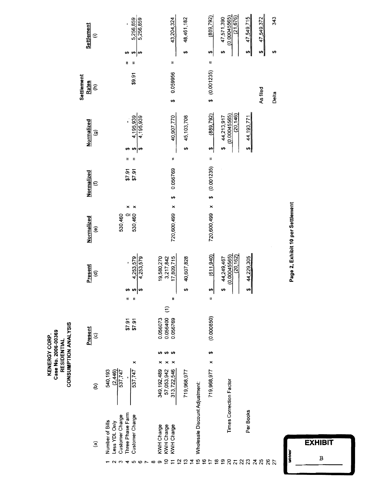| 2006-00369<br><b>KENERGY CORP.</b><br>Case No. | RESIDENTIAL | CONSUMPTION ANALYSIS |
|------------------------------------------------|-------------|----------------------|
|------------------------------------------------|-------------|----------------------|

| Settlement<br>$\widehat{=}$                 | 5,256,859<br>5,256,859                                                                                    | 43,204,324                                                              | 48,461,182                               | (889, 792)<br>47,571,390             | (0.00045565)<br>(21,676)  | 47,549,715                          | 47,549,372 | 343   |
|---------------------------------------------|-----------------------------------------------------------------------------------------------------------|-------------------------------------------------------------------------|------------------------------------------|--------------------------------------|---------------------------|-------------------------------------|------------|-------|
|                                             | မာ<br>↮<br>မာ                                                                                             |                                                                         | ₩                                        | t,<br>မာ                             |                           | မာ                                  | ⇔∥         | မာ    |
|                                             | H<br>IJ                                                                                                   | Ħ                                                                       |                                          | IJ                                   |                           |                                     |            |       |
| Settlement<br>Rates<br>$\widehat{\epsilon}$ | \$9.91                                                                                                    | 0.059956<br>မာ                                                          |                                          | \$ (0.001235)                        |                           |                                     | As filed   | Delta |
| Normalized<br>$\widehat{\mathbf{e}}$        | 4,195,939<br>4,195,939<br>Ð<br>₩                                                                          | 40,907,770                                                              | 45,103,708<br>s,                         | (889, 792)<br>44,213,917<br>Ø<br>မာ  | (20, 146)<br>(0.00045565) | 44,193,771<br>$\boldsymbol{\theta}$ |            |       |
| Normalized<br>$\mathbf{\epsilon}$           | H<br>H<br>16.73<br>\$7.91                                                                                 | Ħ<br>0.056769                                                           |                                          | H<br>\$ (0.001235)                   |                           |                                     |            |       |
| Normalized<br>$\widehat{\mathbf{e}}$        | ×<br>530,460<br>530,460<br>$\Box$                                                                         | မာ<br>×<br>720,600,499                                                  |                                          | 720,600,499 x                        |                           |                                     |            |       |
| Present<br>$\widehat{\mathbf{e}}$           | 4,253,579<br>4,253,579<br>⇔∣⇔<br>₩                                                                        | 17,809,715<br>19,580,270<br>3,217,842                                   | 40,607,828<br>↮                          | (611, 940)<br>44,249,467<br>မာ<br>မာ | (20, 162)<br>(0.00045565) | 44,229,305<br>⇔∥                    |            |       |
| Present<br>$\circ$                          | Ħ<br>Ħ<br>\$7.91<br>57.91                                                                                 | Ħ<br>$\widehat{\epsilon}$<br>0.056400<br>0.056073<br>0.056769           |                                          | Ħ<br>(0.000850)                      |                           |                                     |            |       |
| $\widehat{e}$                               | ×<br>537,747<br>540,193<br>(2,446)<br>537,747                                                             | ↮<br>ശ<br>313,722,546<br>57,053,942<br>349, 192, 489                    | 719,968,977                              | မာ<br>×<br>719,968,977               | Times Correction Factor   |                                     |            |       |
| $\widehat{\mathbf{e}}$                      | Three Phase Farm<br>Customer Charge<br>Customer Charge<br>Number of Bills<br>Less YDL Only<br>∞<br>ဖ<br>ທ | <b>KWH Charge</b><br><b>KWH Charge</b><br>KWH Charge<br>5<br>$\Xi$<br>თ | Wholesale Discount Adjustment:<br>2.5766 | $\ddot{a}$<br>္ဗာ<br>$\ddot{ }$      | 2522222222                | Per Books                           |            |       |

Page 2, Exhibit 10 per Settlement

**EXHIBIT** abbles  $\overline{B}$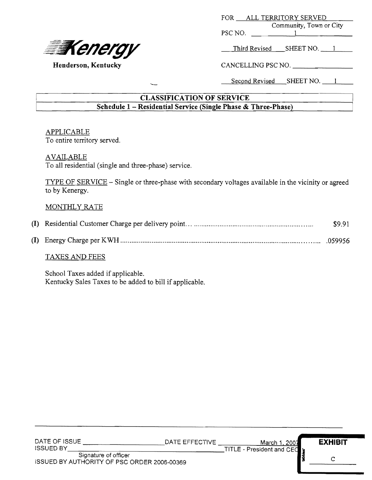

| ALL TERRITORY SERVED<br><b>FOR</b> |           |  |  |
|------------------------------------|-----------|--|--|
| Community, Town or City            |           |  |  |
| PSC NO.                            |           |  |  |
|                                    |           |  |  |
| Third Revised                      | SHEET NO. |  |  |
|                                    |           |  |  |

Henderson, Kentucky CANCELLING PSC NO.

Second Revised SHEET NO. 1

## CLASSIFICATION OF SERVICE Schedule 1 —Residential Service (Single Phase & Three-Phase)

# APPLICABLE

To entire territory served.

### AVAILABLE

To all residential (single and three-phase) service.

TYPE OF SERVICE —Single or three-phase with secondary voltages available in the vicinity or agreed to by Kenergy.

## MONTHLY RATE

|  | \$9.91 |
|--|--------|
|  |        |

### TAXES AND FEES

School Taxes added if applicable. Kentucky Sales Taxes to be added to bill if applicable.

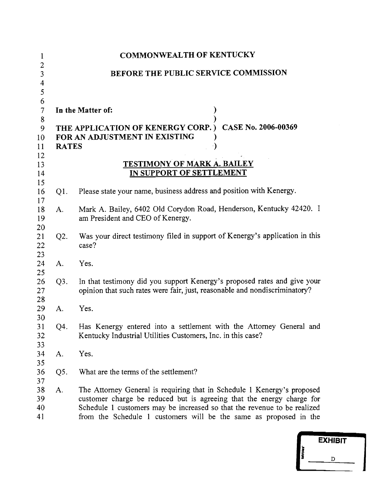| 1                                                        |                                                                                                                                | <b>COMMONWEALTH OF KENTUCKY</b>                                                                                                                                                                                                                                                                   |  |  |  |
|----------------------------------------------------------|--------------------------------------------------------------------------------------------------------------------------------|---------------------------------------------------------------------------------------------------------------------------------------------------------------------------------------------------------------------------------------------------------------------------------------------------|--|--|--|
| $\overline{c}$<br>3<br>4                                 | BEFORE THE PUBLIC SERVICE COMMISSION                                                                                           |                                                                                                                                                                                                                                                                                                   |  |  |  |
| 5<br>6<br>$\overline{\mathcal{I}}$<br>8<br>9<br>10<br>11 | In the Matter of:<br>CASE No. 2006-00369<br>THE APPLICATION OF KENERGY CORP.)<br>FOR AN ADJUSTMENT IN EXISTING<br><b>RATES</b> |                                                                                                                                                                                                                                                                                                   |  |  |  |
| 12<br>13<br>14                                           |                                                                                                                                | <b>TESTIMONY OF MARK A. BAILEY</b><br>IN SUPPORT OF SETTLEMENT                                                                                                                                                                                                                                    |  |  |  |
| 15<br>16                                                 | Q1.                                                                                                                            | Please state your name, business address and position with Kenergy.                                                                                                                                                                                                                               |  |  |  |
| 17<br>18<br>19                                           | A.                                                                                                                             | Mark A. Bailey, 6402 Old Corydon Road, Henderson, Kentucky 42420. I<br>am President and CEO of Kenergy.                                                                                                                                                                                           |  |  |  |
| 20<br>21<br>22<br>23                                     | Q2.                                                                                                                            | Was your direct testimony filed in support of Kenergy's application in this<br>case?                                                                                                                                                                                                              |  |  |  |
| 24<br>25                                                 | A.                                                                                                                             | Yes.                                                                                                                                                                                                                                                                                              |  |  |  |
| 26<br>27<br>28                                           | Q3.                                                                                                                            | In that testimony did you support Kenergy's proposed rates and give your<br>opinion that such rates were fair, just, reasonable and nondiscriminatory?                                                                                                                                            |  |  |  |
| 29<br>30                                                 | $A$ .                                                                                                                          | Yes.                                                                                                                                                                                                                                                                                              |  |  |  |
| 31<br>32<br>33                                           | Q4.                                                                                                                            | Has Kenergy entered into a settlement with the Attorney General and<br>Kentucky Industrial Utilities Customers, Inc. in this case?                                                                                                                                                                |  |  |  |
| 34<br>35                                                 | A.                                                                                                                             | Yes.                                                                                                                                                                                                                                                                                              |  |  |  |
| 36<br>37                                                 | Q5.                                                                                                                            | What are the terms of the settlement?                                                                                                                                                                                                                                                             |  |  |  |
| 38<br>39<br>40<br>41                                     | A.                                                                                                                             | The Attorney General is requiring that in Schedule 1 Kenergy's proposed<br>customer charge be reduced but is agreeing that the energy charge for<br>Schedule 1 customers may be increased so that the revenue to be realized<br>from the Schedule 1 customers will be the same as proposed in the |  |  |  |

|                | <b>EXHIBIT</b> |
|----------------|----------------|
| <b>Tabbles</b> | D              |
|                |                |